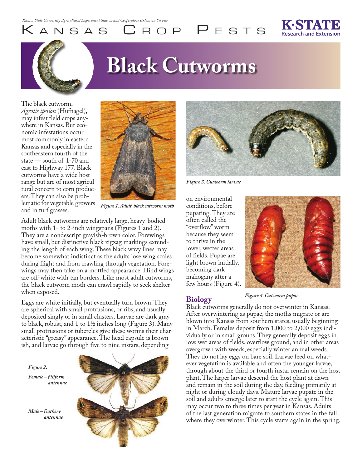# **Black Cutworms**

The black cutworm, *Agrotis ipsilon* (Hufnagel), may infest field crops anywhere in Kansas. But economic infestations occur most commonly in eastern Kansas and especially in the southeastern fourth of the state — south of I-70 and east to Highway 177. Black cutworms have a wide host range but are of most agricultural concern to corn producers. They can also be problematic for vegetable growers and in turf grasses.



KANSAS CROP PESTS

*Figure 1. Adult black cutworm moth*

Adult black cutworms are relatively large, heavy-bodied moths with 1- to 2-inch wingspans (Figures 1 and 2). They are a nondescript grayish-brown color. Forewings have small, but distinctive black zigzag markings extending the length of each wing. These black wavy lines may become somewhat indistinct as the adults lose wing scales during flight and from crawling through vegetation. Forewings may then take on a mottled appearance. Hind wings are off-white with tan borders. Like most adult cutworms, the black cutworm moth can crawl rapidly to seek shelter when exposed.

Eggs are white initially, but eventually turn brown. They are spherical with small protrusions, or ribs, and usually deposited singly or in small clusters. Larvae are dark gray to black, robust, and 1 to 1½ inches long (Figure 3). Many small protrusions or tubercles give these worms their characteristic "greasy" appearance. The head capsule is brownish, and larvae go through five to nine instars, depending





*Figure 3. Cutworm larvae*

on environmental conditions, before pupating. They are often called the "overflow" worm because they seem to thrive in the lower, wetter areas of fields. Pupae are light brown initially, becoming dark mahogany after a few hours (Figure 4).

**Biology**



*Figure 4. Cutworm pupae*

Black cutworms generally do not overwinter in Kansas. After overwintering as pupae, the moths migrate or are blown into Kansas from southern states, usually beginning in March. Females deposit from 1,000 to 2,000 eggs individually or in small groups. They generally deposit eggs in low, wet areas of fields, overflow ground, and in other areas overgrown with weeds, especially winter annual weeds. They do not lay eggs on bare soil. Larvae feed on whatever vegetation is available and often the younger larvae, through about the third or fourth instar remain on the host plant. The larger larvae descend the host plant at dawn and remain in the soil during the day, feeding primarily at night or during cloudy days. Mature larvae pupate in the soil and adults emerge later to start the cycle again. This may occur two to three times per year in Kansas. Adults of the last generation migrate to southern states in the fall where they overwinter. This cycle starts again in the spring.